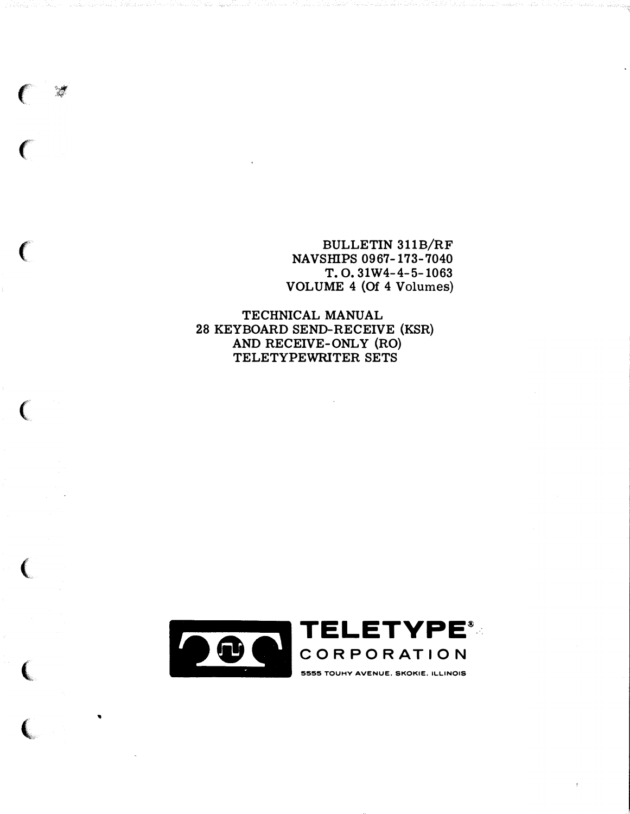BULLETIN 311B/RF NAVSHIPS 0967-173-7040 T. 0. 31W4-4-5-1063 VOLUME 4 {Of 4 Volumes)

TECHNICAL MANUAL 28 KEYBOARD SEND-RECEIVE (KSR) AND RECEIVE-ONLY (RO) TELETYPEWRITER SETS

 $\big($ 

 $\mathbb{Z}^*$ 

 $\big($ 

 $\big($ 

 $\big($ 

 $\epsilon$ 

 $\big($ 

 $\big($ 

..

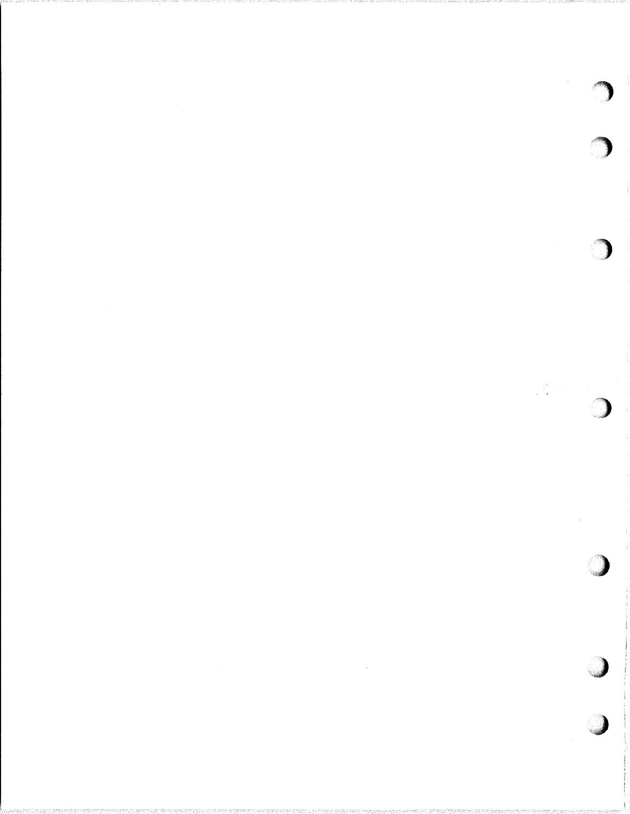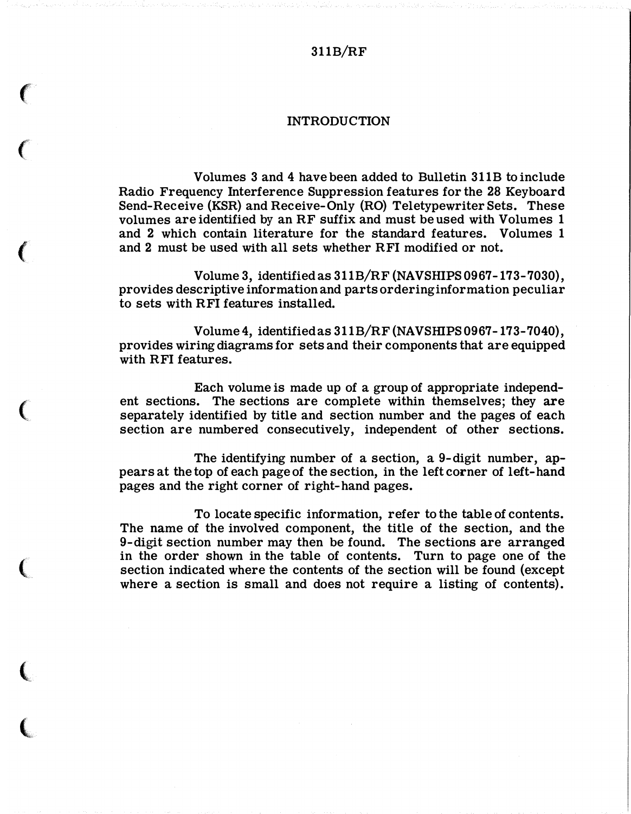# 311B/RF

### INTRODUCTION

 $\epsilon$ 

 $\big($ 

 $\big($ 

 $\big($ 

 $\big($ 

 $\big($ 

 $\overline{\mathbb{C}}$ 

Volumes 3 and 4 have been added to Bulletin 311B to include Radio Frequency Interference Suppression features for the 28 Keyboard Send-Receive (KSR) and Receive-Only (RO) Teletypewriter Sets. These volumes are identified by an RF suffix and must be used with Volumes 1 and 2 which contain literature for the standard features. Volumes 1 and 2 must be used with all sets whether RFI modified or not.

Volume 3, identified as  $311B/RF$  (NAVSHIPS 0967-173-7030), provides descriptive information and parts ordering information peculiar to sets with RFI features installed.

Volume4, identified as 311B/RF (NAVSHIPS0967 -173-7040), provides wiring diagrams for sets and their components that are equipped with RFI features.

Each volume is made up of a group of appropriate independent sections. The sections are complete within themselves; they are separately identified by title and section number and the pages of each section are numbered consecutively, independent of other sections.

The identifying number of a section, a 9-digit number, appears at the top of each page of the section, in the left corner of left-hand pages and the right corner of right-hand pages.

To locate specific information, refer to the table of contents. The name of the involved component, the title of the section, and the 9-digit section number may then be found. The sections are arranged in the order shown in the table of contents. Turn to page one of the section indicated where the contents of the section will be found (except where a section is small and does not require a listing of contents).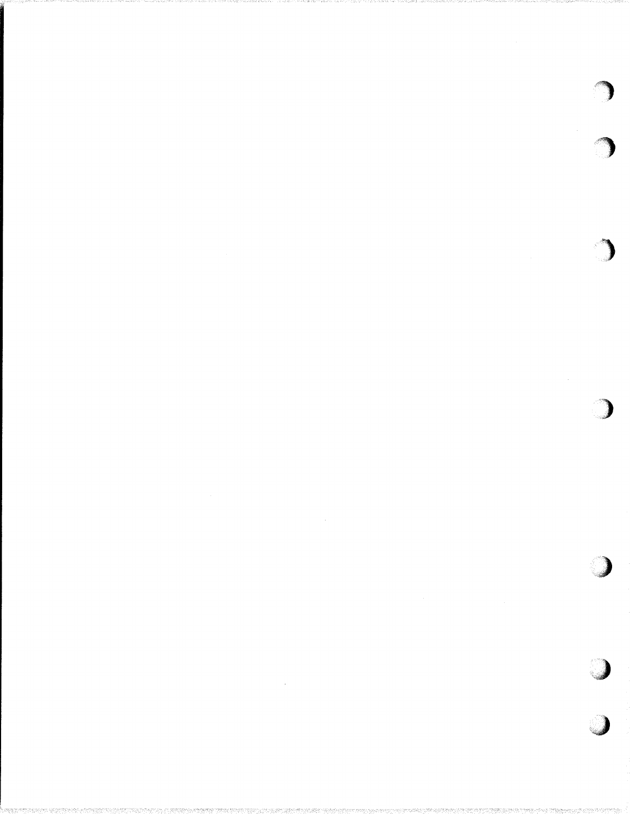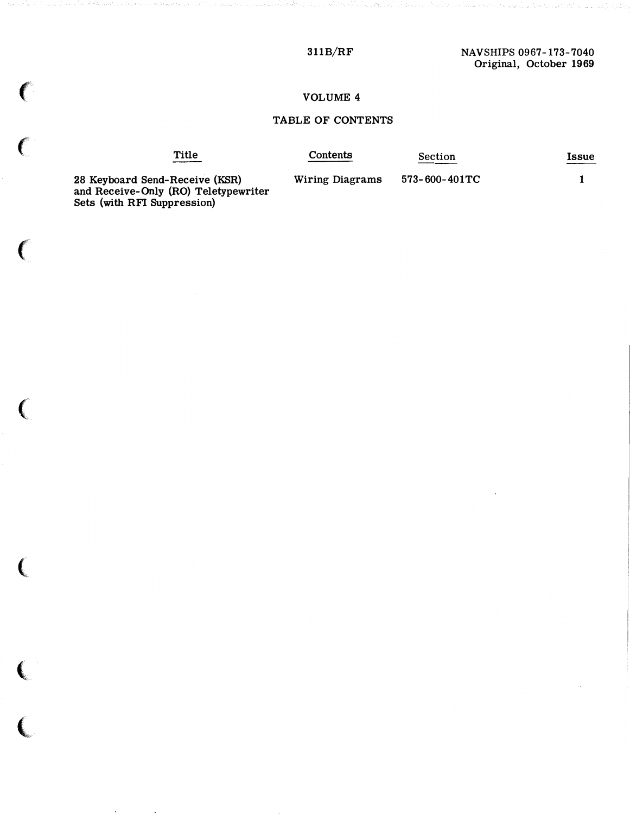# 311B/RF

Issue

# VOLUME 4

# TABLE OF CONTENTS

Wiring Diagrams

# Contents

**Section** 

28 Keyboard Send-Receive (KSR) and Receive-Only (RO) Teletypewriter Sets (with RFI Suppression)

**Title** 

*<u>A</u>* 

€

 $\big($ 

 $\big($ 

573-600-401TC 1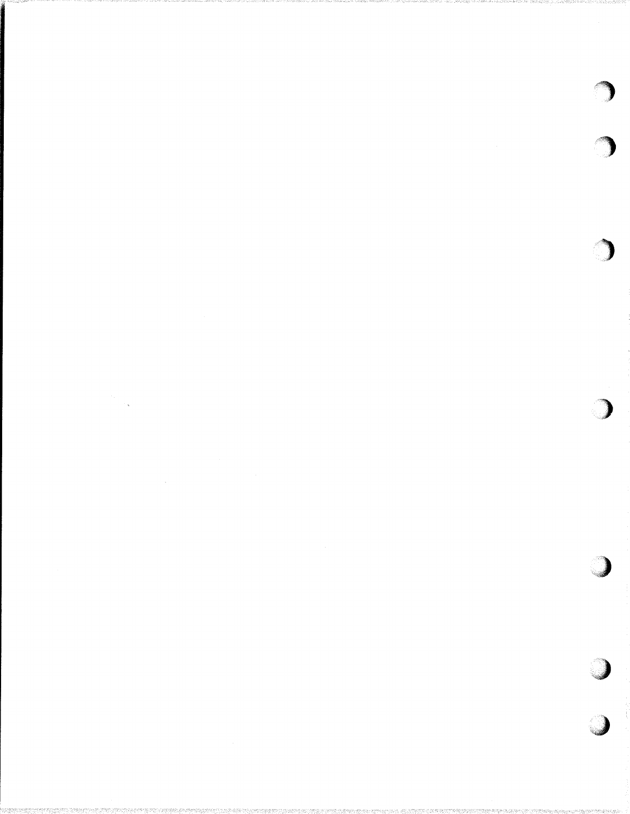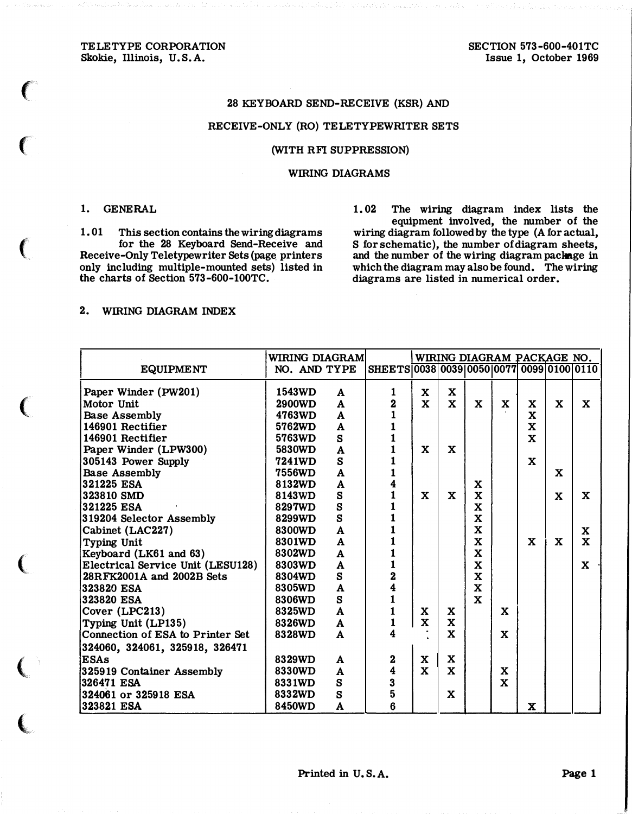#### TELETYPE CORPORATION Skokie, Illinois, U.S.A.

#### 28 KEYBOARD SEND-RECEIVE (KSR) AND

#### RECEIVE-ONLY (RO) TELETYPEWRITER SETS

#### (WITH RF1 SUPPRESSION)

#### WIRING DIAGRAMS

 $\big($ 

 $\big($ 

(

 $\big($ 

 $\big($ 

 $\big($ 

 $\overline{\mathbb{C}}$ 

1. 01 This section contains the wiring diagrams for the 28 Keyboard Send-Receive and Receive-Only Teletypewriter Sets (page\_ printers only including multiple-mounted sets) listed in the charts of Section 573-600-100TC.

1. GENERAL 1.02 The wiring diagram index lists the equipment involved, the number of the wiring diagram followed by the type (A for actual, S for schematic), the number of diagram sheets, and the number of the wiring diagram package in which the diagram may also be found. The wiring diagrams are listed in numerical order.

## 2. WIRING DIAGRAM INDEX

|                                   |               | <b>WIRING DIAGRAM</b> |                                           |              |              | WIRING DIAGRAM PACKAGE NO. |              |              |              |             |  |  |  |
|-----------------------------------|---------------|-----------------------|-------------------------------------------|--------------|--------------|----------------------------|--------------|--------------|--------------|-------------|--|--|--|
| <b>EQUIPMENT</b>                  | NO. AND TYPE  |                       | SHEETS 0038 0039 0050 0077 0099 0100 0110 |              |              |                            |              |              |              |             |  |  |  |
| Paper Winder (PW201)              | 1543WD        | A                     | 1                                         | $\mathbf x$  | $\mathbf x$  |                            |              |              |              |             |  |  |  |
| Motor Unit                        | <b>2900WD</b> | $\mathbf{A}$          | $\overline{\mathbf{2}}$                   | $\mathbf x$  | $\mathbf{x}$ | $\mathbf{x}$               | $\mathbf x$  | X            | $\mathbf{x}$ | X           |  |  |  |
| <b>Base Assembly</b>              | 4763WD        | $\mathbf{A}$          | $\mathbf{1}$                              |              |              |                            |              | X            |              |             |  |  |  |
| 146901 Rectifier                  | 5762WD        | $\mathbf{A}$          | $\mathbf{1}$                              |              |              |                            |              | $\mathbf x$  |              |             |  |  |  |
| 146901 Rectifier                  | 5763WD        | $\mathbf{s}$          |                                           |              |              |                            |              | $\mathbf{x}$ |              |             |  |  |  |
| Paper Winder (LPW300)             | 5830WD        | $\mathbf{A}$          | 1                                         | $\mathbf{x}$ | $\mathbf x$  |                            |              |              |              |             |  |  |  |
| 305143 Power Supply               | <b>7241WD</b> | S                     | $\mathbf{1}$                              |              |              |                            |              | $\mathbf x$  |              |             |  |  |  |
| <b>Base Assembly</b>              | <b>7556WD</b> | $\mathbf{A}$          |                                           |              |              |                            |              |              | $\mathbf x$  |             |  |  |  |
| 321225 ESA                        | 8132WD        | $\mathbf{A}$          | 4                                         |              |              | X                          |              |              |              |             |  |  |  |
| 323810 SMD                        | 8143WD        | S                     | $\mathbf{1}$                              | $\mathbf x$  | $\mathbf{x}$ | $\mathbf x$                |              |              | $\mathbf x$  | $\mathbf x$ |  |  |  |
| 321225 ESA                        | 8297WD        | $\mathbf S$           | $\mathbf{1}$                              |              |              | $\mathbf x$                |              |              |              |             |  |  |  |
| 319204 Selector Assembly          | 8299WD        | $\mathbf S$           | 1                                         |              |              | $\mathbf x$                |              |              |              |             |  |  |  |
| Cabinet (LAC227)                  | 8300WD        | $\mathbf{A}$          | $\mathbf{1}$                              |              |              | $\mathbf x$                |              |              |              | X           |  |  |  |
| Typing Unit                       | 8301WD        | $\mathbf{A}$          |                                           |              |              | X                          |              | X            | $\mathbf x$  | $\mathbf x$ |  |  |  |
| Keyboard (LK61 and 63)            | 8302WD        | $\mathbf{A}$          |                                           |              |              | $\mathbf x$                |              |              |              |             |  |  |  |
| Electrical Service Unit (LESU128) | 8303WD        | $\mathbf{A}$          | $\mathbf{1}$                              |              |              | $\mathbf{x}$               |              |              |              | $\mathbf x$ |  |  |  |
| 28RFK2001A and 2002B Sets         | 8304WD        | S                     | $\overline{\mathbf{2}}$                   |              |              | $\mathbf x$                |              |              |              |             |  |  |  |
| 323820 ESA                        | 8305WD        | $\mathbf{A}$          | 4                                         |              |              | $\mathbf{x}$               |              |              |              |             |  |  |  |
| 323820 ESA                        | 8306WD        | $\mathbf s$           | $\mathbf{1}$                              |              |              | $\mathbf{x}$               |              |              |              |             |  |  |  |
| Cover (LPC213)                    | 8325WD        | $\mathbf{A}$          | $\mathbf{1}$                              | $\mathbf x$  | $\mathbf x$  |                            | $\mathbf{x}$ |              |              |             |  |  |  |
| Typing Unit (LP135)               | 8326WD        | $\mathbf{A}$          | $\mathbf{1}$                              | X            | X            |                            |              |              |              |             |  |  |  |
| Connection of ESA to Printer Set  | 8328WD        | $\mathbf{A}$          | 4                                         |              | $\mathbf{x}$ |                            | $\mathbf{x}$ |              |              |             |  |  |  |
| 324060, 324061, 325918, 326471    |               |                       |                                           |              |              |                            |              |              |              |             |  |  |  |
| <b>ESAs</b>                       | 8329WD        | A                     | $\mathbf 2$                               | X            | X            |                            |              |              |              |             |  |  |  |
| 325919 Container Assembly         | 8330WD        | $\mathbf{A}$          | 4                                         | $\mathbf{x}$ | $\mathbf{x}$ |                            | X            |              |              |             |  |  |  |
| 326471 ESA                        | 8331WD        | S                     | 3                                         |              |              |                            | $\mathbf x$  |              |              |             |  |  |  |
| 324061 or 325918 ESA              | 8332WD        | $\mathbf S$           | 5                                         |              | $\mathbf{x}$ |                            |              |              |              |             |  |  |  |
| 323821 ESA                        | 8450WD        | $\mathbf{A}$          | 6                                         |              |              |                            |              | $\mathbf x$  |              |             |  |  |  |